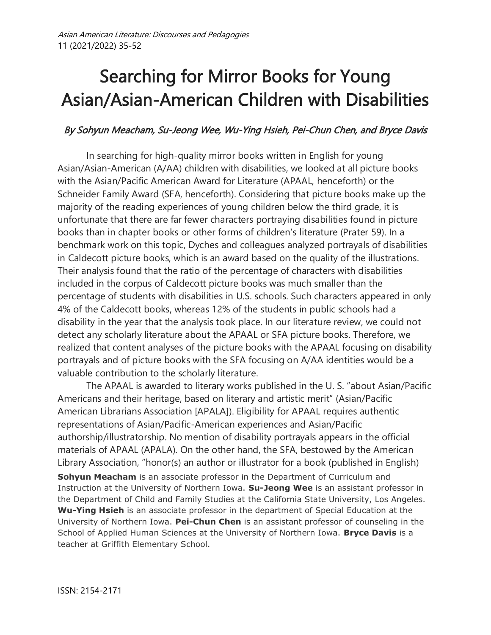# Searching for Mirror Books for Young Asian/Asian-American Children with Disabilities

# By Sohyun Meacham, Su-Jeong Wee, Wu-Ying Hsieh, Pei-Chun Chen, and Bryce Davis

In searching for high-quality mirror books written in English for young Asian/Asian-American (A/AA) children with disabilities, we looked at all picture books with the Asian/Pacific American Award for Literature (APAAL, henceforth) or the Schneider Family Award (SFA, henceforth). Considering that picture books make up the majority of the reading experiences of young children below the third grade, it is unfortunate that there are far fewer characters portraying disabilities found in picture books than in chapter books or other forms of children's literature (Prater 59). In a benchmark work on this topic, Dyches and colleagues analyzed portrayals of disabilities in Caldecott picture books, which is an award based on the quality of the illustrations. Their analysis found that the ratio of the percentage of characters with disabilities included in the corpus of Caldecott picture books was much smaller than the percentage of students with disabilities in U.S. schools. Such characters appeared in only 4% of the Caldecott books, whereas 12% of the students in public schools had a disability in the year that the analysis took place. In our literature review, we could not detect any scholarly literature about the APAAL or SFA picture books. Therefore, we realized that content analyses of the picture books with the APAAL focusing on disability portrayals and of picture books with the SFA focusing on A/AA identities would be a valuable contribution to the scholarly literature.

The APAAL is awarded to literary works published in the U. S. "about Asian/Pacific Americans and their heritage, based on literary and artistic merit" (Asian/Pacific American Librarians Association [APALA]). Eligibility for APAAL requires authentic representations of Asian/Pacific-American experiences and Asian/Pacific authorship/illustratorship. No mention of disability portrayals appears in the official materials of APAAL (APALA). On the other hand, the SFA, bestowed by the American Library Association, "honor(s) an author or illustrator for a book (published in English)

**Sohyun Meacham** is an associate professor in the Department of Curriculum and Instruction at the University of Northern Iowa. **Su-Jeong Wee** is an assistant professor in the Department of Child and Family Studies at the California State University, Los Angeles. **Wu-Ying Hsieh** is an associate professor in the department of Special Education at the University of Northern Iowa. **Pei-Chun Chen** is an assistant professor of counseling in the School of Applied Human Sciences at the University of Northern Iowa. **Bryce Davis** is a teacher at Griffith Elementary School.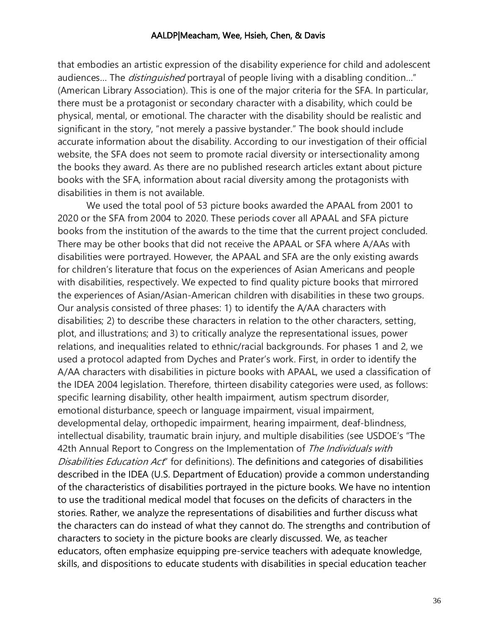that embodies an artistic expression of the disability experience for child and adolescent audiences... The *distinguished* portrayal of people living with a disabling condition..." (American Library Association). This is one of the major criteria for the SFA. In particular, there must be a protagonist or secondary character with a disability, which could be physical, mental, or emotional. The character with the disability should be realistic and significant in the story, "not merely a passive bystander." The book should include accurate information about the disability. According to our investigation of their official website, the SFA does not seem to promote racial diversity or intersectionality among the books they award. As there are no published research articles extant about picture books with the SFA, information about racial diversity among the protagonists with disabilities in them is not available.

We used the total pool of 53 picture books awarded the APAAL from 2001 to 2020 or the SFA from 2004 to 2020. These periods cover all APAAL and SFA picture books from the institution of the awards to the time that the current project concluded. There may be other books that did not receive the APAAL or SFA where A/AAs with disabilities were portrayed. However, the APAAL and SFA are the only existing awards for children's literature that focus on the experiences of Asian Americans and people with disabilities, respectively. We expected to find quality picture books that mirrored the experiences of Asian/Asian-American children with disabilities in these two groups. Our analysis consisted of three phases: 1) to identify the A/AA characters with disabilities; 2) to describe these characters in relation to the other characters, setting, plot, and illustrations; and 3) to critically analyze the representational issues, power relations, and inequalities related to ethnic/racial backgrounds. For phases 1 and 2, we used a protocol adapted from Dyches and Prater's work. First, in order to identify the A/AA characters with disabilities in picture books with APAAL, we used a classification of the IDEA 2004 legislation. Therefore, thirteen disability categories were used, as follows: specific learning disability, other health impairment, autism spectrum disorder, emotional disturbance, speech or language impairment, visual impairment, developmental delay, orthopedic impairment, hearing impairment, deaf-blindness, intellectual disability, traumatic brain injury, and multiple disabilities (see USDOE's "The 42th Annual Report to Congress on the Implementation of The Individuals with Disabilities Education Act" for definitions). The definitions and categories of disabilities described in the IDEA (U.S. Department of Education) provide a common understanding of the characteristics of disabilities portrayed in the picture books. We have no intention to use the traditional medical model that focuses on the deficits of characters in the stories. Rather, we analyze the representations of disabilities and further discuss what the characters can do instead of what they cannot do. The strengths and contribution of characters to society in the picture books are clearly discussed. We, as teacher educators, often emphasize equipping pre-service teachers with adequate knowledge, skills, and dispositions to educate students with disabilities in special education teacher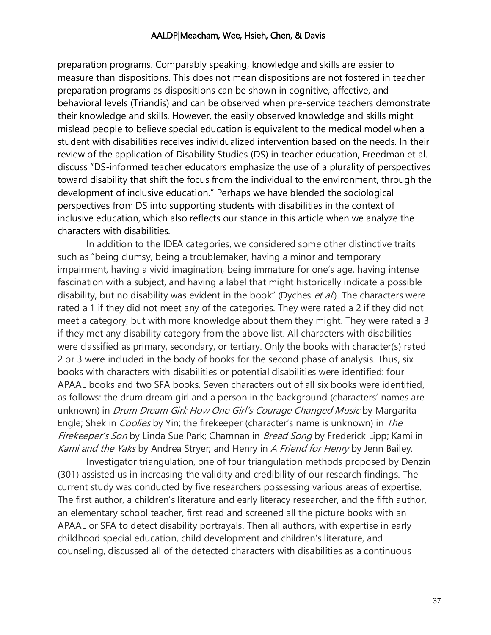preparation programs. Comparably speaking, knowledge and skills are easier to measure than dispositions. This does not mean dispositions are not fostered in teacher preparation programs as dispositions can be shown in cognitive, affective, and behavioral levels (Triandis) and can be observed when pre-service teachers demonstrate their knowledge and skills. However, the easily observed knowledge and skills might mislead people to believe special education is equivalent to the medical model when a student with disabilities receives individualized intervention based on the needs. In their review of the application of Disability Studies (DS) in teacher education, Freedman et al. discuss "DS-informed teacher educators emphasize the use of a plurality of perspectives toward disability that shift the focus from the individual to the environment, through the development of inclusive education." Perhaps we have blended the sociological perspectives from DS into supporting students with disabilities in the context of inclusive education, which also reflects our stance in this article when we analyze the characters with disabilities.

In addition to the IDEA categories, we considered some other distinctive traits such as "being clumsy, being a troublemaker, having a minor and temporary impairment, having a vivid imagination, being immature for one's age, having intense fascination with a subject, and having a label that might historically indicate a possible disability, but no disability was evident in the book" (Dyches *et al.*). The characters were rated a 1 if they did not meet any of the categories. They were rated a 2 if they did not meet a category, but with more knowledge about them they might. They were rated a 3 if they met any disability category from the above list. All characters with disabilities were classified as primary, secondary, or tertiary. Only the books with character(s) rated 2 or 3 were included in the body of books for the second phase of analysis. Thus, six books with characters with disabilities or potential disabilities were identified: four APAAL books and two SFA books. Seven characters out of all six books were identified, as follows: the drum dream girl and a person in the background (characters' names are unknown) in *Drum Dream Girl: How One Girl's Courage Changed Music* by Margarita Engle; Shek in *Coolies* by Yin; the firekeeper (character's name is unknown) in *The* Firekeeper's Son by Linda Sue Park; Chamnan in Bread Song by Frederick Lipp; Kami in Kami and the Yaks by Andrea Stryer; and Henry in A Friend for Henry by Jenn Bailey.

Investigator triangulation, one of four triangulation methods proposed by Denzin (301) assisted us in increasing the validity and credibility of our research findings. The current study was conducted by five researchers possessing various areas of expertise. The first author, a children's literature and early literacy researcher, and the fifth author, an elementary school teacher, first read and screened all the picture books with an APAAL or SFA to detect disability portrayals. Then all authors, with expertise in early childhood special education, child development and children's literature, and counseling, discussed all of the detected characters with disabilities as a continuous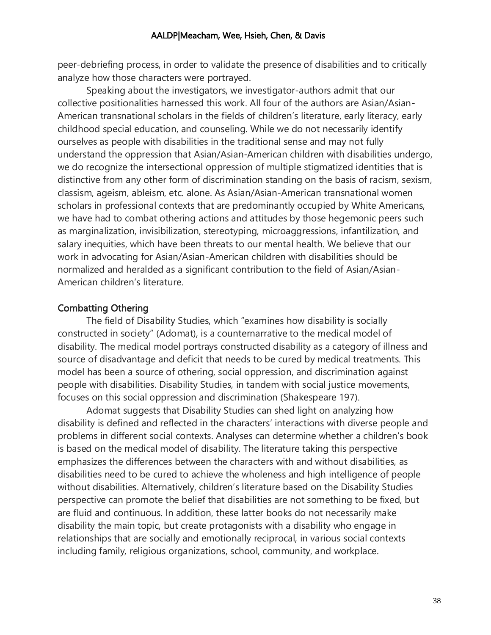peer-debriefing process, in order to validate the presence of disabilities and to critically analyze how those characters were portrayed.

Speaking about the investigators, we investigator-authors admit that our collective positionalities harnessed this work. All four of the authors are Asian/Asian-American transnational scholars in the fields of children's literature, early literacy, early childhood special education, and counseling. While we do not necessarily identify ourselves as people with disabilities in the traditional sense and may not fully understand the oppression that Asian/Asian-American children with disabilities undergo, we do recognize the intersectional oppression of multiple stigmatized identities that is distinctive from any other form of discrimination standing on the basis of racism, sexism, classism, ageism, ableism, etc. alone. As Asian/Asian-American transnational women scholars in professional contexts that are predominantly occupied by White Americans, we have had to combat othering actions and attitudes by those hegemonic peers such as marginalization, invisibilization, stereotyping, microaggressions, infantilization, and salary inequities, which have been threats to our mental health. We believe that our work in advocating for Asian/Asian-American children with disabilities should be normalized and heralded as a significant contribution to the field of Asian/Asian-American children's literature.

## Combatting Othering

The field of Disability Studies, which "examines how disability is socially constructed in society" (Adomat), is a counternarrative to the medical model of disability. The medical model portrays constructed disability as a category of illness and source of disadvantage and deficit that needs to be cured by medical treatments. This model has been a source of othering, social oppression, and discrimination against people with disabilities. Disability Studies, in tandem with social justice movements, focuses on this social oppression and discrimination (Shakespeare 197).

Adomat suggests that Disability Studies can shed light on analyzing how disability is defined and reflected in the characters' interactions with diverse people and problems in different social contexts. Analyses can determine whether a children's book is based on the medical model of disability. The literature taking this perspective emphasizes the differences between the characters with and without disabilities, as disabilities need to be cured to achieve the wholeness and high intelligence of people without disabilities. Alternatively, children's literature based on the Disability Studies perspective can promote the belief that disabilities are not something to be fixed, but are fluid and continuous. In addition, these latter books do not necessarily make disability the main topic, but create protagonists with a disability who engage in relationships that are socially and emotionally reciprocal, in various social contexts including family, religious organizations, school, community, and workplace.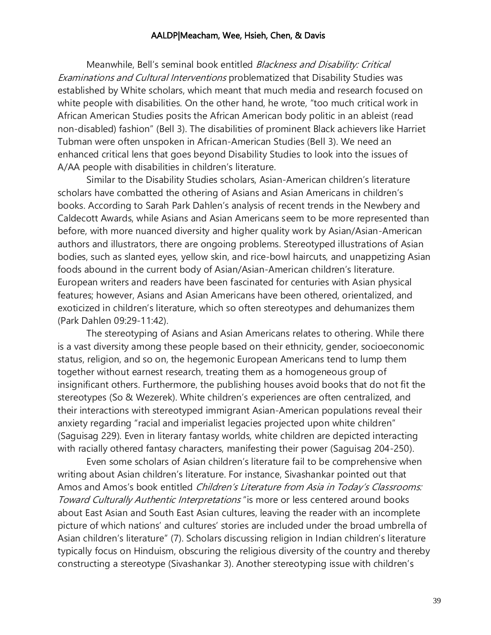Meanwhile, Bell's seminal book entitled Blackness and Disability: Critical Examinations and Cultural Interventions problematized that Disability Studies was established by White scholars, which meant that much media and research focused on white people with disabilities. On the other hand, he wrote, "too much critical work in African American Studies posits the African American body politic in an ableist (read non-disabled) fashion" (Bell 3). The disabilities of prominent Black achievers like Harriet Tubman were often unspoken in African-American Studies (Bell 3). We need an enhanced critical lens that goes beyond Disability Studies to look into the issues of A/AA people with disabilities in children's literature.

Similar to the Disability Studies scholars, Asian-American children's literature scholars have combatted the othering of Asians and Asian Americans in children's books. According to Sarah Park Dahlen's analysis of recent trends in the Newbery and Caldecott Awards, while Asians and Asian Americans seem to be more represented than before, with more nuanced diversity and higher quality work by Asian/Asian-American authors and illustrators, there are ongoing problems. Stereotyped illustrations of Asian bodies, such as slanted eyes, yellow skin, and rice-bowl haircuts, and unappetizing Asian foods abound in the current body of Asian/Asian-American children's literature. European writers and readers have been fascinated for centuries with Asian physical features; however, Asians and Asian Americans have been othered, orientalized, and exoticized in children's literature, which so often stereotypes and dehumanizes them (Park Dahlen 09:29-11:42).

The stereotyping of Asians and Asian Americans relates to othering. While there is a vast diversity among these people based on their ethnicity, gender, socioeconomic status, religion, and so on, the hegemonic European Americans tend to lump them together without earnest research, treating them as a homogeneous group of insignificant others. Furthermore, the publishing houses avoid books that do not fit the stereotypes (So & Wezerek). White children's experiences are often centralized, and their interactions with stereotyped immigrant Asian-American populations reveal their anxiety regarding "racial and imperialist legacies projected upon white children" (Saguisag 229). Even in literary fantasy worlds, white children are depicted interacting with racially othered fantasy characters, manifesting their power (Saguisag 204-250).

Even some scholars of Asian children's literature fail to be comprehensive when writing about Asian children's literature. For instance, Sivashankar pointed out that Amos and Amos's book entitled Children's Literature from Asia in Today's Classrooms: Toward Culturally Authentic Interpretations "is more or less centered around books about East Asian and South East Asian cultures, leaving the reader with an incomplete picture of which nations' and cultures' stories are included under the broad umbrella of Asian children's literature" (7). Scholars discussing religion in Indian children's literature typically focus on Hinduism, obscuring the religious diversity of the country and thereby constructing a stereotype (Sivashankar 3). Another stereotyping issue with children's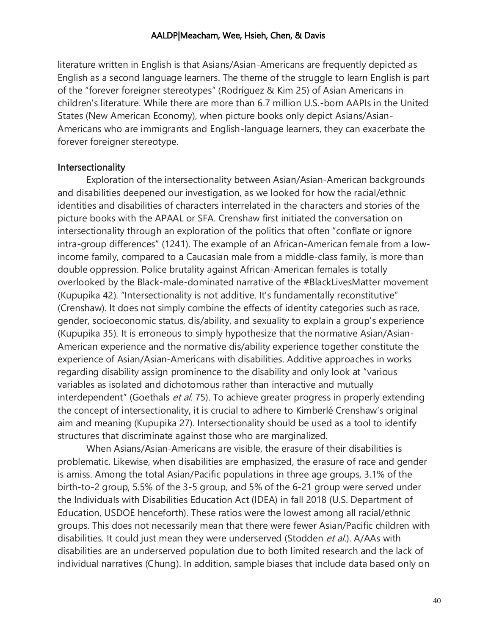literature written in English is that Asians/Asian-Americans are frequently depicted as English as a second language learners. The theme of the struggle to learn English is part of the "forever foreigner stereotypes" (Rodríguez & Kim 25) of Asian Americans in children's literature. While there are more than 6.7 million U.S.-born AAPIs in the United States (New American Economy), when picture books only depict Asians/Asian-Americans who are immigrants and English-language learners, they can exacerbate the forever foreigner stereotype.

## **Intersectionality**

Exploration of the intersectionality between Asian/Asian-American backgrounds and disabilities deepened our investigation, as we looked for how the racial/ethnic identities and disabilities of characters interrelated in the characters and stories of the picture books with the APAAL or SFA. Crenshaw first initiated the conversation on intersectionality through an exploration of the politics that often "conflate or ignore intra-group differences" (1241). The example of an African-American female from a lowincome family, compared to a Caucasian male from a middle-class family, is more than double oppression. Police brutality against African-American females is totally overlooked by the Black-male-dominated narrative of the #BlackLivesMatter movement (Kupupika 42). "Intersectionality is not additive. It's fundamentally reconstitutive" (Crenshaw). It does not simply combine the effects of identity categories such as race, gender, socioeconomic status, dis/ability, and sexuality to explain a group's experience (Kupupika 35). It is erroneous to simply hypothesize that the normative Asian/Asian-American experience and the normative dis/ability experience together constitute the experience of Asian/Asian-Americans with disabilities. Additive approaches in works regarding disability assign prominence to the disability and only look at "various variables as isolated and dichotomous rather than interactive and mutually interdependent" (Goethals et al. 75). To achieve greater progress in properly extending the concept of intersectionality, it is crucial to adhere to Kimberlé Crenshaw's original aim and meaning (Kupupika 27). Intersectionality should be used as a tool to identify structures that discriminate against those who are marginalized.

When Asians/Asian-Americans are visible, the erasure of their disabilities is problematic. Likewise, when disabilities are emphasized, the erasure of race and gender is amiss. Among the total Asian/Pacific populations in three age groups, 3.1% of the birth-to-2 group, 5.5% of the 3-5 group, and 5% of the 6-21 group were served under the Individuals with Disabilities Education Act (IDEA) in fall 2018 (U.S. Department of Education, USDOE henceforth). These ratios were the lowest among all racial/ethnic groups. This does not necessarily mean that there were fewer Asian/Pacific children with disabilities. It could just mean they were underserved (Stodden et al.). A/AAs with disabilities are an underserved population due to both limited research and the lack of individual narratives (Chung). In addition, sample biases that include data based only on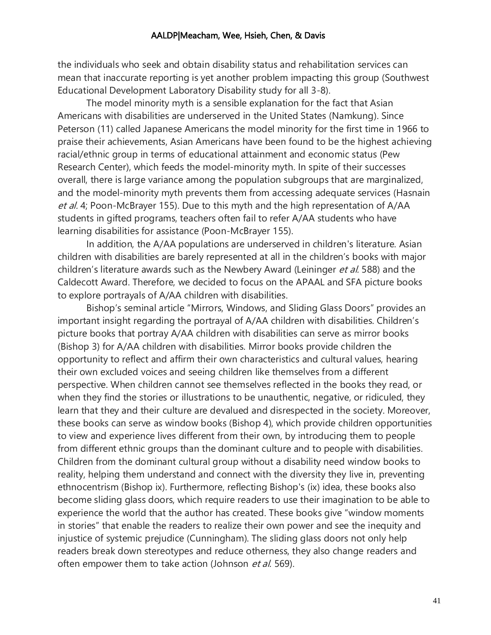the individuals who seek and obtain disability status and rehabilitation services can mean that inaccurate reporting is yet another problem impacting this group (Southwest Educational Development Laboratory Disability study for all 3-8).

The model minority myth is a sensible explanation for the fact that Asian Americans with disabilities are underserved in the United States (Namkung). Since Peterson (11) called Japanese Americans the model minority for the first time in 1966 to praise their achievements, Asian Americans have been found to be the highest achieving racial/ethnic group in terms of educational attainment and economic status (Pew Research Center), which feeds the model-minority myth. In spite of their successes overall, there is large variance among the population subgroups that are marginalized, and the model-minority myth prevents them from accessing adequate services (Hasnain et al. 4; Poon-McBrayer 155). Due to this myth and the high representation of A/AA students in gifted programs, teachers often fail to refer A/AA students who have learning disabilities for assistance (Poon-McBrayer 155).

In addition, the A/AA populations are underserved in children's literature. Asian children with disabilities are barely represented at all in the children's books with major children's literature awards such as the Newbery Award (Leininger et al. 588) and the Caldecott Award. Therefore, we decided to focus on the APAAL and SFA picture books to explore portrayals of A/AA children with disabilities.

Bishop's seminal article "Mirrors, Windows, and Sliding Glass Doors" provides an important insight regarding the portrayal of A/AA children with disabilities. Children's picture books that portray A/AA children with disabilities can serve as mirror books (Bishop 3) for A/AA children with disabilities. Mirror books provide children the opportunity to reflect and affirm their own characteristics and cultural values, hearing their own excluded voices and seeing children like themselves from a different perspective. When children cannot see themselves reflected in the books they read, or when they find the stories or illustrations to be unauthentic, negative, or ridiculed, they learn that they and their culture are devalued and disrespected in the society. Moreover, these books can serve as window books (Bishop 4), which provide children opportunities to view and experience lives different from their own, by introducing them to people from different ethnic groups than the dominant culture and to people with disabilities. Children from the dominant cultural group without a disability need window books to reality, helping them understand and connect with the diversity they live in, preventing ethnocentrism (Bishop ix). Furthermore, reflecting Bishop's (ix) idea, these books also become sliding glass doors, which require readers to use their imagination to be able to experience the world that the author has created. These books give "window moments in stories" that enable the readers to realize their own power and see the inequity and injustice of systemic prejudice (Cunningham). The sliding glass doors not only help readers break down stereotypes and reduce otherness, they also change readers and often empower them to take action (Johnson et al. 569).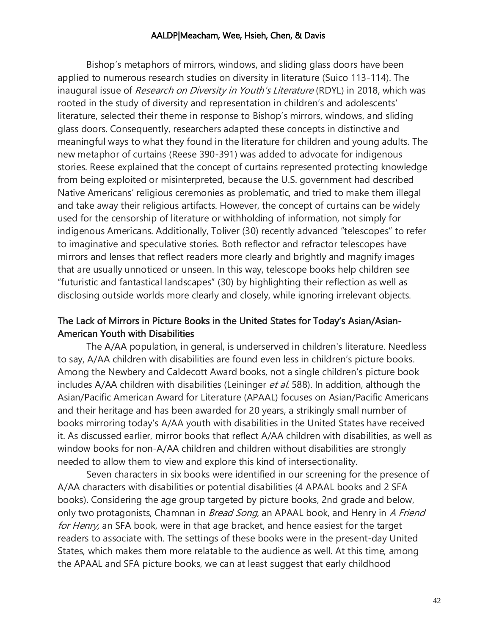Bishop's metaphors of mirrors, windows, and sliding glass doors have been applied to numerous research studies on diversity in literature (Suico 113-114). The inaugural issue of Research on Diversity in Youth's Literature (RDYL) in 2018, which was rooted in the study of diversity and representation in children's and adolescents' literature, selected their theme in response to Bishop's mirrors, windows, and sliding glass doors. Consequently, researchers adapted these concepts in distinctive and meaningful ways to what they found in the literature for children and young adults. The new metaphor of curtains (Reese 390-391) was added to advocate for indigenous stories. Reese explained that the concept of curtains represented protecting knowledge from being exploited or misinterpreted, because the U.S. government had described Native Americans' religious ceremonies as problematic, and tried to make them illegal and take away their religious artifacts. However, the concept of curtains can be widely used for the censorship of literature or withholding of information, not simply for indigenous Americans. Additionally, Toliver (30) recently advanced "telescopes" to refer to imaginative and speculative stories. Both reflector and refractor telescopes have mirrors and lenses that reflect readers more clearly and brightly and magnify images that are usually unnoticed or unseen. In this way, telescope books help children see "futuristic and fantastical landscapes" (30) by highlighting their reflection as well as disclosing outside worlds more clearly and closely, while ignoring irrelevant objects.

# The Lack of Mirrors in Picture Books in the United States for Today's Asian/Asian-American Youth with Disabilities

The A/AA population, in general, is underserved in children's literature. Needless to say, A/AA children with disabilities are found even less in children's picture books. Among the Newbery and Caldecott Award books, not a single children's picture book includes A/AA children with disabilities (Leininger et al. 588). In addition, although the Asian/Pacific American Award for Literature (APAAL) focuses on Asian/Pacific Americans and their heritage and has been awarded for 20 years, a strikingly small number of books mirroring today's A/AA youth with disabilities in the United States have received it. As discussed earlier, mirror books that reflect A/AA children with disabilities, as well as window books for non-A/AA children and children without disabilities are strongly needed to allow them to view and explore this kind of intersectionality.

Seven characters in six books were identified in our screening for the presence of A/AA characters with disabilities or potential disabilities (4 APAAL books and 2 SFA books). Considering the age group targeted by picture books, 2nd grade and below, only two protagonists, Chamnan in Bread Song, an APAAL book, and Henry in A Friend for Henry, an SFA book, were in that age bracket, and hence easiest for the target readers to associate with. The settings of these books were in the present-day United States, which makes them more relatable to the audience as well. At this time, among the APAAL and SFA picture books, we can at least suggest that early childhood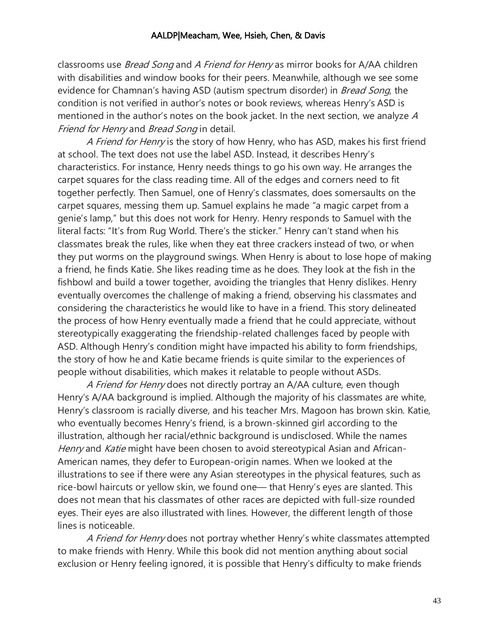classrooms use *Bread Song* and A Friend for Henry as mirror books for A/AA children with disabilities and window books for their peers. Meanwhile, although we see some evidence for Chamnan's having ASD (autism spectrum disorder) in *Bread Song*, the condition is not verified in author's notes or book reviews, whereas Henry's ASD is mentioned in the author's notes on the book jacket. In the next section, we analyze A Friend for Henry and Bread Song in detail.

A Friend for Henry is the story of how Henry, who has ASD, makes his first friend at school. The text does not use the label ASD. Instead, it describes Henry's characteristics. For instance, Henry needs things to go his own way. He arranges the carpet squares for the class reading time. All of the edges and corners need to fit together perfectly. Then Samuel, one of Henry's classmates, does somersaults on the carpet squares, messing them up. Samuel explains he made "a magic carpet from a genie's lamp," but this does not work for Henry. Henry responds to Samuel with the literal facts: "It's from Rug World. There's the sticker." Henry can't stand when his classmates break the rules, like when they eat three crackers instead of two, or when they put worms on the playground swings. When Henry is about to lose hope of making a friend, he finds Katie. She likes reading time as he does. They look at the fish in the fishbowl and build a tower together, avoiding the triangles that Henry dislikes. Henry eventually overcomes the challenge of making a friend, observing his classmates and considering the characteristics he would like to have in a friend. This story delineated the process of how Henry eventually made a friend that he could appreciate, without stereotypically exaggerating the friendship-related challenges faced by people with ASD. Although Henry's condition might have impacted his ability to form friendships, the story of how he and Katie became friends is quite similar to the experiences of people without disabilities, which makes it relatable to people without ASDs.

A Friend for Henry does not directly portray an A/AA culture, even though Henry's A/AA background is implied. Although the majority of his classmates are white, Henry's classroom is racially diverse, and his teacher Mrs. Magoon has brown skin. Katie, who eventually becomes Henry's friend, is a brown-skinned girl according to the illustration, although her racial/ethnic background is undisclosed. While the names Henry and Katie might have been chosen to avoid stereotypical Asian and African-American names, they defer to European-origin names. When we looked at the illustrations to see if there were any Asian stereotypes in the physical features, such as rice-bowl haircuts or yellow skin, we found one— that Henry's eyes are slanted. This does not mean that his classmates of other races are depicted with full-size rounded eyes. Their eyes are also illustrated with lines. However, the different length of those lines is noticeable.

A Friend for Henry does not portray whether Henry's white classmates attempted to make friends with Henry. While this book did not mention anything about social exclusion or Henry feeling ignored, it is possible that Henry's difficulty to make friends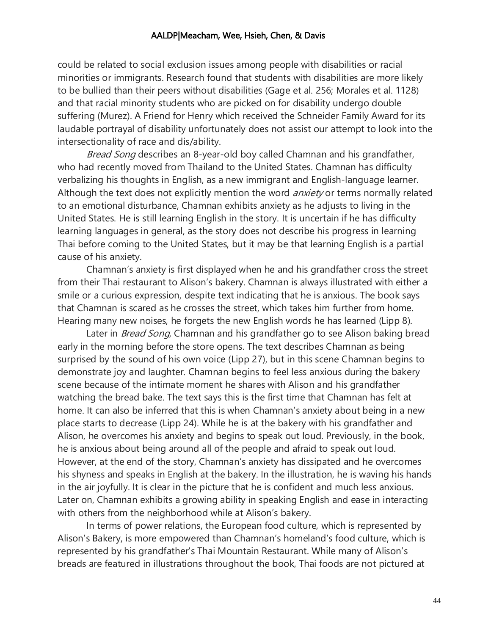could be related to social exclusion issues among people with disabilities or racial minorities or immigrants. Research found that students with disabilities are more likely to be bullied than their peers without disabilities (Gage et al. 256; Morales et al. 1128) and that racial minority students who are picked on for disability undergo double suffering (Murez). A Friend for Henry which received the Schneider Family Award for its laudable portrayal of disability unfortunately does not assist our attempt to look into the intersectionality of race and dis/ability.

Bread Song describes an 8-year-old boy called Chamnan and his grandfather, who had recently moved from Thailand to the United States. Chamnan has difficulty verbalizing his thoughts in English, as a new immigrant and English-language learner. Although the text does not explicitly mention the word *anxiety* or terms normally related to an emotional disturbance, Chamnan exhibits anxiety as he adjusts to living in the United States. He is still learning English in the story. It is uncertain if he has difficulty learning languages in general, as the story does not describe his progress in learning Thai before coming to the United States, but it may be that learning English is a partial cause of his anxiety.

Chamnan's anxiety is first displayed when he and his grandfather cross the street from their Thai restaurant to Alison's bakery. Chamnan is always illustrated with either a smile or a curious expression, despite text indicating that he is anxious. The book says that Chamnan is scared as he crosses the street, which takes him further from home. Hearing many new noises, he forgets the new English words he has learned (Lipp 8).

Later in *Bread Song*, Chamnan and his grandfather go to see Alison baking bread early in the morning before the store opens. The text describes Chamnan as being surprised by the sound of his own voice (Lipp 27), but in this scene Chamnan begins to demonstrate joy and laughter. Chamnan begins to feel less anxious during the bakery scene because of the intimate moment he shares with Alison and his grandfather watching the bread bake. The text says this is the first time that Chamnan has felt at home. It can also be inferred that this is when Chamnan's anxiety about being in a new place starts to decrease (Lipp 24). While he is at the bakery with his grandfather and Alison, he overcomes his anxiety and begins to speak out loud. Previously, in the book, he is anxious about being around all of the people and afraid to speak out loud. However, at the end of the story, Chamnan's anxiety has dissipated and he overcomes his shyness and speaks in English at the bakery. In the illustration, he is waving his hands in the air joyfully. It is clear in the picture that he is confident and much less anxious. Later on, Chamnan exhibits a growing ability in speaking English and ease in interacting with others from the neighborhood while at Alison's bakery.

In terms of power relations, the European food culture, which is represented by Alison's Bakery, is more empowered than Chamnan's homeland's food culture, which is represented by his grandfather's Thai Mountain Restaurant. While many of Alison's breads are featured in illustrations throughout the book, Thai foods are not pictured at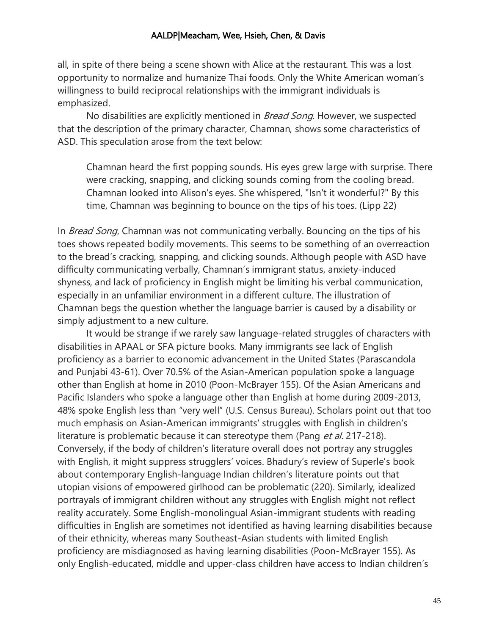all, in spite of there being a scene shown with Alice at the restaurant. This was a lost opportunity to normalize and humanize Thai foods. Only the White American woman's willingness to build reciprocal relationships with the immigrant individuals is emphasized.

No disabilities are explicitly mentioned in *Bread Song*. However, we suspected that the description of the primary character, Chamnan, shows some characteristics of ASD. This speculation arose from the text below:

Chamnan heard the first popping sounds. His eyes grew large with surprise. There were cracking, snapping, and clicking sounds coming from the cooling bread. Chamnan looked into Alison's eyes. She whispered, "Isn't it wonderful?" By this time, Chamnan was beginning to bounce on the tips of his toes. (Lipp 22)

In Bread Song, Chamnan was not communicating verbally. Bouncing on the tips of his toes shows repeated bodily movements. This seems to be something of an overreaction to the bread's cracking, snapping, and clicking sounds. Although people with ASD have difficulty communicating verbally, Chamnan's immigrant status, anxiety-induced shyness, and lack of proficiency in English might be limiting his verbal communication, especially in an unfamiliar environment in a different culture. The illustration of Chamnan begs the question whether the language barrier is caused by a disability or simply adjustment to a new culture.

It would be strange if we rarely saw language-related struggles of characters with disabilities in APAAL or SFA picture books. Many immigrants see lack of English proficiency as a barrier to economic advancement in the United States (Parascandola and Punjabi 43-61). Over 70.5% of the Asian-American population spoke a language other than English at home in 2010 (Poon-McBrayer 155). Of the Asian Americans and Pacific Islanders who spoke a language other than English at home during 2009-2013, 48% spoke English less than "very well" (U.S. Census Bureau). Scholars point out that too much emphasis on Asian-American immigrants' struggles with English in children's literature is problematic because it can stereotype them (Pang et al. 217-218). Conversely, if the body of children's literature overall does not portray any struggles with English, it might suppress strugglers' voices. Bhadury's review of Superle's book about contemporary English-language Indian children's literature points out that utopian visions of empowered girlhood can be problematic (220). Similarly, idealized portrayals of immigrant children without any struggles with English might not reflect reality accurately. Some English-monolingual Asian-immigrant students with reading difficulties in English are sometimes not identified as having learning disabilities because of their ethnicity, whereas many Southeast-Asian students with limited English proficiency are misdiagnosed as having learning disabilities (Poon-McBrayer 155). As only English-educated, middle and upper-class children have access to Indian children's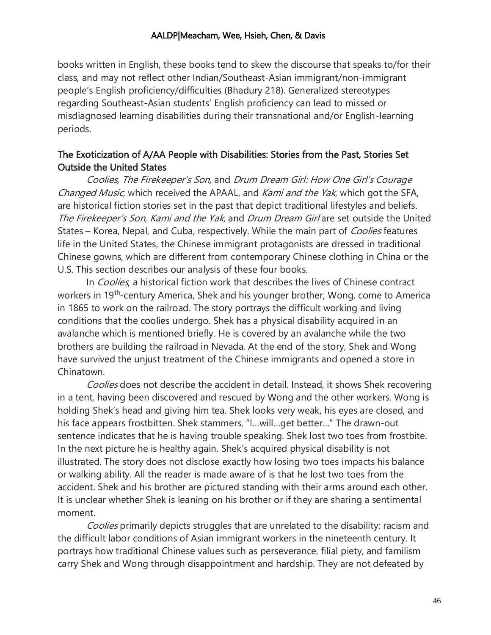books written in English, these books tend to skew the discourse that speaks to/for their class, and may not reflect other Indian/Southeast-Asian immigrant/non-immigrant people's English proficiency/difficulties (Bhadury 218). Generalized stereotypes regarding Southeast-Asian students' English proficiency can lead to missed or misdiagnosed learning disabilities during their transnational and/or English-learning periods.

# The Exoticization of A/AA People with Disabilities: Stories from the Past, Stories Set Outside the United States

Coolies, The Firekeeper's Son, and Drum Dream Girl: How One Girl's Courage Changed Music, which received the APAAL, and Kami and the Yak, which got the SFA, are historical fiction stories set in the past that depict traditional lifestyles and beliefs. The Firekeeper's Son, Kami and the Yak, and Drum Dream Girl are set outside the United States – Korea, Nepal, and Cuba, respectively. While the main part of *Coolies* features life in the United States, the Chinese immigrant protagonists are dressed in traditional Chinese gowns, which are different from contemporary Chinese clothing in China or the U.S. This section describes our analysis of these four books.

In *Coolies*, a historical fiction work that describes the lives of Chinese contract workers in 19<sup>th</sup>-century America, Shek and his younger brother, Wong, come to America in 1865 to work on the railroad. The story portrays the difficult working and living conditions that the coolies undergo. Shek has a physical disability acquired in an avalanche which is mentioned briefly. He is covered by an avalanche while the two brothers are building the railroad in Nevada. At the end of the story, Shek and Wong have survived the unjust treatment of the Chinese immigrants and opened a store in Chinatown.

Coolies does not describe the accident in detail. Instead, it shows Shek recovering in a tent, having been discovered and rescued by Wong and the other workers. Wong is holding Shek's head and giving him tea. Shek looks very weak, his eyes are closed, and his face appears frostbitten. Shek stammers, "I…will…get better…" The drawn-out sentence indicates that he is having trouble speaking. Shek lost two toes from frostbite. In the next picture he is healthy again. Shek's acquired physical disability is not illustrated. The story does not disclose exactly how losing two toes impacts his balance or walking ability. All the reader is made aware of is that he lost two toes from the accident. Shek and his brother are pictured standing with their arms around each other. It is unclear whether Shek is leaning on his brother or if they are sharing a sentimental moment.

Coolies primarily depicts struggles that are unrelated to the disability: racism and the difficult labor conditions of Asian immigrant workers in the nineteenth century. It portrays how traditional Chinese values such as perseverance, filial piety, and familism carry Shek and Wong through disappointment and hardship. They are not defeated by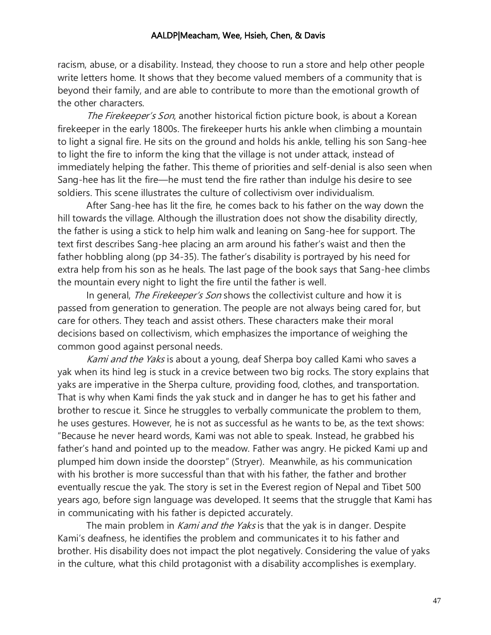racism, abuse, or a disability. Instead, they choose to run a store and help other people write letters home. It shows that they become valued members of a community that is beyond their family, and are able to contribute to more than the emotional growth of the other characters.

The Firekeeper's Son, another historical fiction picture book, is about a Korean firekeeper in the early 1800s. The firekeeper hurts his ankle when climbing a mountain to light a signal fire. He sits on the ground and holds his ankle, telling his son Sang-hee to light the fire to inform the king that the village is not under attack, instead of immediately helping the father. This theme of priorities and self-denial is also seen when Sang-hee has lit the fire—he must tend the fire rather than indulge his desire to see soldiers. This scene illustrates the culture of collectivism over individualism.

After Sang-hee has lit the fire, he comes back to his father on the way down the hill towards the village. Although the illustration does not show the disability directly, the father is using a stick to help him walk and leaning on Sang-hee for support. The text first describes Sang-hee placing an arm around his father's waist and then the father hobbling along (pp 34-35). The father's disability is portrayed by his need for extra help from his son as he heals. The last page of the book says that Sang-hee climbs the mountain every night to light the fire until the father is well.

In general, *The Firekeeper's Son* shows the collectivist culture and how it is passed from generation to generation. The people are not always being cared for, but care for others. They teach and assist others. These characters make their moral decisions based on collectivism, which emphasizes the importance of weighing the common good against personal needs.

Kami and the Yaks is about a young, deaf Sherpa boy called Kami who saves a yak when its hind leg is stuck in a crevice between two big rocks. The story explains that yaks are imperative in the Sherpa culture, providing food, clothes, and transportation. That is why when Kami finds the yak stuck and in danger he has to get his father and brother to rescue it. Since he struggles to verbally communicate the problem to them, he uses gestures. However, he is not as successful as he wants to be, as the text shows: "Because he never heard words, Kami was not able to speak. Instead, he grabbed his father's hand and pointed up to the meadow. Father was angry. He picked Kami up and plumped him down inside the doorstep" (Stryer). Meanwhile, as his communication with his brother is more successful than that with his father, the father and brother eventually rescue the yak. The story is set in the Everest region of Nepal and Tibet 500 years ago, before sign language was developed. It seems that the struggle that Kami has in communicating with his father is depicted accurately.

The main problem in *Kami and the Yaks* is that the yak is in danger. Despite Kami's deafness, he identifies the problem and communicates it to his father and brother. His disability does not impact the plot negatively. Considering the value of yaks in the culture, what this child protagonist with a disability accomplishes is exemplary.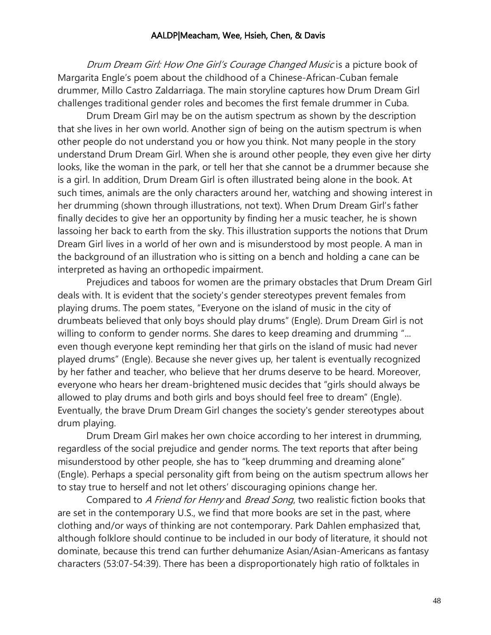Drum Dream Girl: How One Girl's Courage Changed Music is a picture book of Margarita Engle's poem about the childhood of a Chinese-African-Cuban female drummer, Millo Castro Zaldarriaga. The main storyline captures how Drum Dream Girl challenges traditional gender roles and becomes the first female drummer in Cuba.

Drum Dream Girl may be on the autism spectrum as shown by the description that she lives in her own world. Another sign of being on the autism spectrum is when other people do not understand you or how you think. Not many people in the story understand Drum Dream Girl. When she is around other people, they even give her dirty looks, like the woman in the park, or tell her that she cannot be a drummer because she is a girl. In addition, Drum Dream Girl is often illustrated being alone in the book. At such times, animals are the only characters around her, watching and showing interest in her drumming (shown through illustrations, not text). When Drum Dream Girl's father finally decides to give her an opportunity by finding her a music teacher, he is shown lassoing her back to earth from the sky. This illustration supports the notions that Drum Dream Girl lives in a world of her own and is misunderstood by most people. A man in the background of an illustration who is sitting on a bench and holding a cane can be interpreted as having an orthopedic impairment.

Prejudices and taboos for women are the primary obstacles that Drum Dream Girl deals with. It is evident that the society's gender stereotypes prevent females from playing drums. The poem states, "Everyone on the island of music in the city of drumbeats believed that only boys should play drums" (Engle). Drum Dream Girl is not willing to conform to gender norms. She dares to keep dreaming and drumming "... even though everyone kept reminding her that girls on the island of music had never played drums" (Engle). Because she never gives up, her talent is eventually recognized by her father and teacher, who believe that her drums deserve to be heard. Moreover, everyone who hears her dream-brightened music decides that "girls should always be allowed to play drums and both girls and boys should feel free to dream" (Engle). Eventually, the brave Drum Dream Girl changes the society's gender stereotypes about drum playing.

Drum Dream Girl makes her own choice according to her interest in drumming, regardless of the social prejudice and gender norms. The text reports that after being misunderstood by other people, she has to "keep drumming and dreaming alone" (Engle). Perhaps a special personality gift from being on the autism spectrum allows her to stay true to herself and not let others' discouraging opinions change her.

Compared to A Friend for Henry and Bread Song, two realistic fiction books that are set in the contemporary U.S., we find that more books are set in the past, where clothing and/or ways of thinking are not contemporary. Park Dahlen emphasized that, although folklore should continue to be included in our body of literature, it should not dominate, because this trend can further dehumanize Asian/Asian-Americans as fantasy characters (53:07-54:39). There has been a disproportionately high ratio of folktales in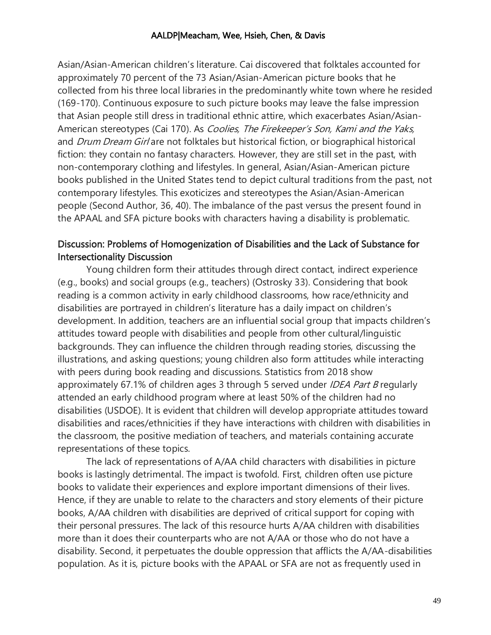Asian/Asian-American children's literature. Cai discovered that folktales accounted for approximately 70 percent of the 73 Asian/Asian-American picture books that he collected from his three local libraries in the predominantly white town where he resided (169-170). Continuous exposure to such picture books may leave the false impression that Asian people still dress in traditional ethnic attire, which exacerbates Asian/Asian-American stereotypes (Cai 170). As *Coolies, The Firekeeper's Son, Kami and the Yaks*, and *Drum Dream Girl* are not folktales but historical fiction, or biographical historical fiction: they contain no fantasy characters. However, they are still set in the past, with non-contemporary clothing and lifestyles. In general, Asian/Asian-American picture books published in the United States tend to depict cultural traditions from the past, not contemporary lifestyles. This exoticizes and stereotypes the Asian/Asian-American people (Second Author, 36, 40). The imbalance of the past versus the present found in the APAAL and SFA picture books with characters having a disability is problematic.

# Discussion: Problems of Homogenization of Disabilities and the Lack of Substance for Intersectionality Discussion

Young children form their attitudes through direct contact, indirect experience (e.g., books) and social groups (e.g., teachers) (Ostrosky 33). Considering that book reading is a common activity in early childhood classrooms, how race/ethnicity and disabilities are portrayed in children's literature has a daily impact on children's development. In addition, teachers are an influential social group that impacts children's attitudes toward people with disabilities and people from other cultural/linguistic backgrounds. They can influence the children through reading stories, discussing the illustrations, and asking questions; young children also form attitudes while interacting with peers during book reading and discussions. Statistics from 2018 show approximately 67.1% of children ages 3 through 5 served under *IDEA Part B* regularly attended an early childhood program where at least 50% of the children had no disabilities (USDOE). It is evident that children will develop appropriate attitudes toward disabilities and races/ethnicities if they have interactions with children with disabilities in the classroom, the positive mediation of teachers, and materials containing accurate representations of these topics.

The lack of representations of A/AA child characters with disabilities in picture books is lastingly detrimental. The impact is twofold. First, children often use picture books to validate their experiences and explore important dimensions of their lives. Hence, if they are unable to relate to the characters and story elements of their picture books, A/AA children with disabilities are deprived of critical support for coping with their personal pressures. The lack of this resource hurts A/AA children with disabilities more than it does their counterparts who are not A/AA or those who do not have a disability. Second, it perpetuates the double oppression that afflicts the A/AA-disabilities population. As it is, picture books with the APAAL or SFA are not as frequently used in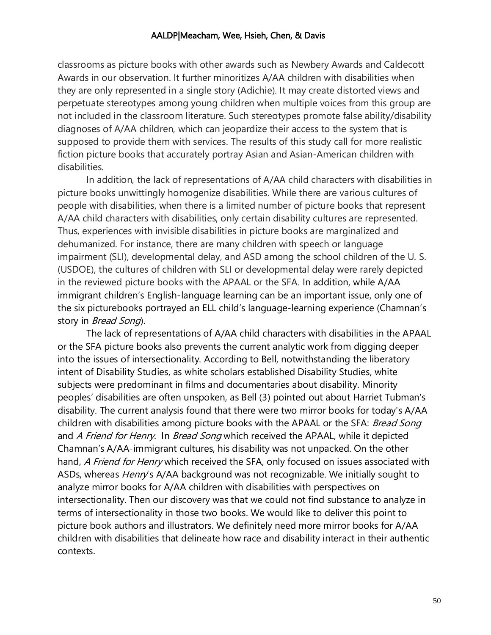classrooms as picture books with other awards such as Newbery Awards and Caldecott Awards in our observation. It further minoritizes A/AA children with disabilities when they are only represented in a single story (Adichie). It may create distorted views and perpetuate stereotypes among young children when multiple voices from this group are not included in the classroom literature. Such stereotypes promote false ability/disability diagnoses of A/AA children, which can jeopardize their access to the system that is supposed to provide them with services. The results of this study call for more realistic fiction picture books that accurately portray Asian and Asian-American children with disabilities.

In addition, the lack of representations of A/AA child characters with disabilities in picture books unwittingly homogenize disabilities. While there are various cultures of people with disabilities, when there is a limited number of picture books that represent A/AA child characters with disabilities, only certain disability cultures are represented. Thus, experiences with invisible disabilities in picture books are marginalized and dehumanized. For instance, there are many children with speech or language impairment (SLI), developmental delay, and ASD among the school children of the U. S. (USDOE), the cultures of children with SLI or developmental delay were rarely depicted in the reviewed picture books with the APAAL or the SFA. In addition, while A/AA immigrant children's English-language learning can be an important issue, only one of the six picturebooks portrayed an ELL child's language-learning experience (Chamnan's story in *Bread Song*).

The lack of representations of A/AA child characters with disabilities in the APAAL or the SFA picture books also prevents the current analytic work from digging deeper into the issues of intersectionality. According to Bell, notwithstanding the liberatory intent of Disability Studies, as white scholars established Disability Studies, white subjects were predominant in films and documentaries about disability. Minority peoples' disabilities are often unspoken, as Bell (3) pointed out about Harriet Tubman's disability. The current analysis found that there were two mirror books for today's A/AA children with disabilities among picture books with the APAAL or the SFA: Bread Song and A Friend for Henry. In Bread Song which received the APAAL, while it depicted Chamnan's A/AA-immigrant cultures, his disability was not unpacked. On the other hand, A Friend for Henry which received the SFA, only focused on issues associated with ASDs, whereas *Henry's* A/AA background was not recognizable. We initially sought to analyze mirror books for A/AA children with disabilities with perspectives on intersectionality. Then our discovery was that we could not find substance to analyze in terms of intersectionality in those two books. We would like to deliver this point to picture book authors and illustrators. We definitely need more mirror books for A/AA children with disabilities that delineate how race and disability interact in their authentic contexts.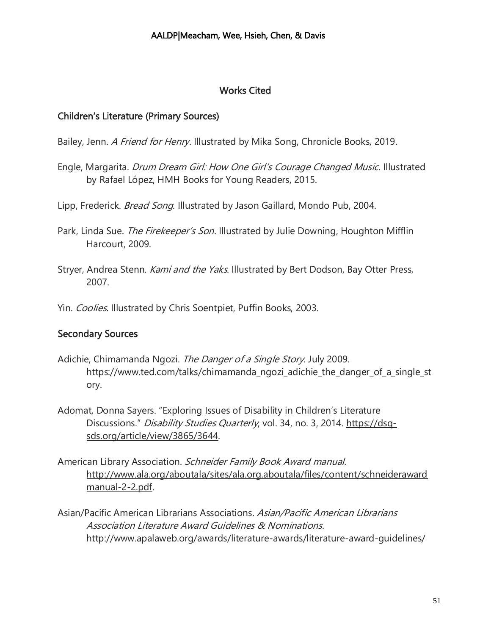# Works Cited

# Children's Literature (Primary Sources)

- Bailey, Jenn. *A Friend for Henry*. Illustrated by Mika Song, Chronicle Books, 2019.
- Engle, Margarita. Drum Dream Girl: How One Girl's Courage Changed Music. Illustrated by Rafael López, HMH Books for Young Readers, 2015.
- Lipp, Frederick. *Bread Song*. Illustrated by Jason Gaillard, Mondo Pub, 2004.
- Park, Linda Sue. The Firekeeper's Son. Illustrated by Julie Downing, Houghton Mifflin Harcourt, 2009.
- Stryer, Andrea Stenn. Kami and the Yaks. Illustrated by Bert Dodson, Bay Otter Press, 2007.

Yin. Coolies. Illustrated by Chris Soentpiet, Puffin Books, 2003.

# Secondary Sources

- Adichie, Chimamanda Ngozi. The Danger of a Single Story. July 2009. https://www.ted.com/talks/chimamanda\_ngozi\_adichie\_the\_danger\_of\_a\_single\_st ory.
- Adomat, Donna Sayers. "Exploring Issues of Disability in Children's Literature Discussions." Disability Studies Quarterly, vol. 34, no. 3, 2014. [https://dsq](https://dsq-sds.org/article/view/3865/3644)[sds.org/article/view/3865/3644.](https://dsq-sds.org/article/view/3865/3644)
- American Library Association. Schneider Family Book Award manual. [http://www.ala.org/aboutala/sites/ala.org.aboutala/files/content/schneideraward](http://www.ala.org/aboutala/sites/ala.org.aboutala/files/content/schneiderawardmanual-2-2.pdf) [manual-2-2.pdf.](http://www.ala.org/aboutala/sites/ala.org.aboutala/files/content/schneiderawardmanual-2-2.pdf)
- Asian/Pacific American Librarians Associations. Asian/Pacific American Librarians Association Literature Award Guidelines & Nominations. <http://www.apalaweb.org/awards/literature-awards/literature-award-guidelines/>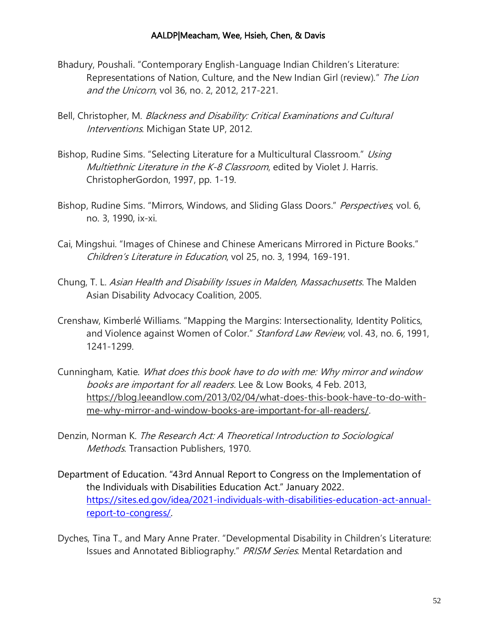- Bhadury, Poushali. "Contemporary English-Language Indian Children's Literature: Representations of Nation, Culture, and the New Indian Girl (review)." The Lion and the Unicorn, vol 36, no. 2, 2012, 217-221.
- Bell, Christopher, M. Blackness and Disability: Critical Examinations and Cultural Interventions. Michigan State UP, 2012.
- Bishop, Rudine Sims. "Selecting Literature for a Multicultural Classroom." Using Multiethnic Literature in the K-8 Classroom, edited by Violet J. Harris. ChristopherGordon, 1997, pp. 1-19.
- Bishop, Rudine Sims. "Mirrors, Windows, and Sliding Glass Doors." *Perspectives*, vol. 6, no. 3, 1990, ix-xi.
- Cai, Mingshui. "Images of Chinese and Chinese Americans Mirrored in Picture Books." Children's Literature in Education, vol 25, no. 3, 1994, 169-191.
- Chung, T. L. Asian Health and Disability Issues in Malden, Massachusetts. The Malden Asian Disability Advocacy Coalition, 2005.
- Crenshaw, Kimberlé Williams. "Mapping the Margins: Intersectionality, Identity Politics, and Violence against Women of Color." Stanford Law Review, vol. 43, no. 6, 1991, 1241-1299.
- Cunningham, Katie. What does this book have to do with me: Why mirror and window books are important for all readers. Lee & Low Books, 4 Feb. 2013, [https://blog.leeandlow.com/2013/02/04/what-does-this-book-have-to-do-with](https://blog.leeandlow.com/2013/02/04/what-does-this-book-have-to-do-with-me-why-mirror-and-window-books-are-important-for-all-readers/)[me-why-mirror-and-window-books-are-important-for-all-readers/.](https://blog.leeandlow.com/2013/02/04/what-does-this-book-have-to-do-with-me-why-mirror-and-window-books-are-important-for-all-readers/)
- Denzin, Norman K. The Research Act: A Theoretical Introduction to Sociological Methods. Transaction Publishers, 1970.
- Department of Education. "43rd Annual Report to Congress on the Implementation of the Individuals with Disabilities Education Act." January 2022. [https://sites.ed.gov/idea/2021-individuals-with-disabilities-education-act-annual](https://sites.ed.gov/idea/2021-individuals-with-disabilities-education-act-annual-report-to-congress/)[report-to-congress/.](https://sites.ed.gov/idea/2021-individuals-with-disabilities-education-act-annual-report-to-congress/)
- Dyches, Tina T., and Mary Anne Prater. "Developmental Disability in Children's Literature: Issues and Annotated Bibliography." PRISM Series. Mental Retardation and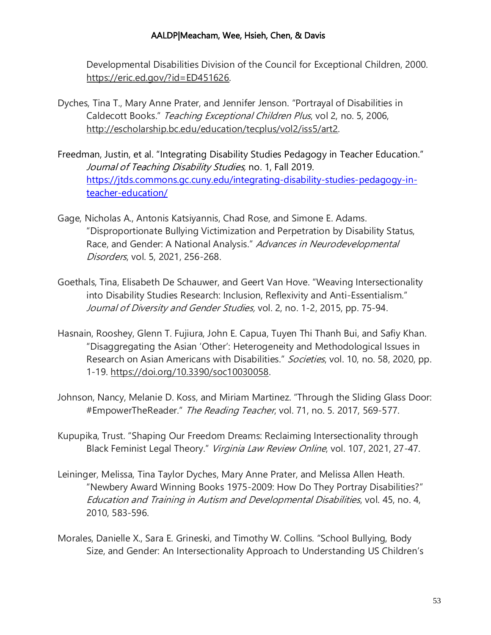Developmental Disabilities Division of the Council for Exceptional Children, 2000. [https://eric.ed.gov/?id=ED451626.](https://eric.ed.gov/?id=ED451626)

- Dyches, Tina T., Mary Anne Prater, and Jennifer Jenson. "Portrayal of Disabilities in Caldecott Books." Teaching Exceptional Children Plus, vol 2, no. 5, 2006, [http://escholarship.bc.edu/education/tecplus/vol2/iss5/art2.](http://escholarship.bc.edu/education/tecplus/vol2/iss5/art2)
- Freedman, Justin, et al. "Integrating Disability Studies Pedagogy in Teacher Education." Journal of Teaching Disability Studies, no. 1, Fall 2019. [https://jtds.commons.gc.cuny.edu/integrating-disability-studies-pedagogy-in](https://jtds.commons.gc.cuny.edu/integrating-disability-studies-pedagogy-in-teacher-education/)[teacher-education/](https://jtds.commons.gc.cuny.edu/integrating-disability-studies-pedagogy-in-teacher-education/)
- Gage, Nicholas A., Antonis Katsiyannis, Chad Rose, and Simone E. Adams. "Disproportionate Bullying Victimization and Perpetration by Disability Status, Race, and Gender: A National Analysis." Advances in Neurodevelopmental Disorders, vol. 5, 2021, 256-268.
- Goethals, Tina, Elisabeth De Schauwer, and Geert Van Hove. "Weaving Intersectionality into Disability Studies Research: Inclusion, Reflexivity and Anti-Essentialism." Journal of Diversity and Gender Studies, vol. 2, no. 1-2, 2015, pp. 75-94.
- Hasnain, Rooshey, Glenn T. Fujiura, John E. Capua, Tuyen Thi Thanh Bui, and Safiy Khan. "Disaggregating the Asian 'Other': Heterogeneity and Methodological Issues in Research on Asian Americans with Disabilities." Societies, vol. 10, no. 58, 2020, pp. 1-19. [https://doi.org/10.3390/soc10030058.](https://doi.org/10.3390/soc10030058)
- Johnson, Nancy, Melanie D. Koss, and Miriam Martinez. "Through the Sliding Glass Door: #EmpowerTheReader." The Reading Teacher, vol. 71, no. 5. 2017, 569-577.
- Kupupika, Trust. "Shaping Our Freedom Dreams: Reclaiming Intersectionality through Black Feminist Legal Theory." Virginia Law Review Online, vol. 107, 2021, 27-47.
- Leininger, Melissa, Tina Taylor Dyches, Mary Anne Prater, and Melissa Allen Heath. "Newbery Award Winning Books 1975-2009: How Do They Portray Disabilities?" Education and Training in Autism and Developmental Disabilities, vol. 45, no. 4, 2010, 583-596.
- Morales, Danielle X., Sara E. Grineski, and Timothy W. Collins. "School Bullying, Body Size, and Gender: An Intersectionality Approach to Understanding US Children's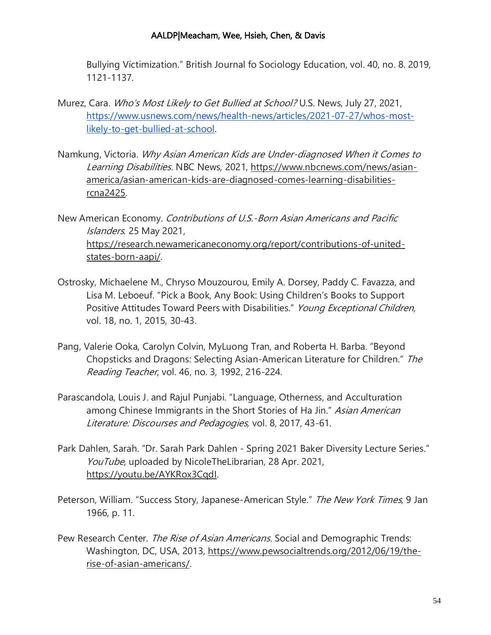Bullying Victimization." British Journal fo Sociology Education, vol. 40, no. 8. 2019, 1121-1137.

- Murez, Cara. Who's Most Likely to Get Bullied at School? U.S. News, July 27, 2021, [https://www.usnews.com/news/health-news/articles/2021-07-27/whos-most](https://www.usnews.com/news/health-news/articles/2021-07-27/whos-most-likely-to-get-bullied-at-school)[likely-to-get-bullied-at-school.](https://www.usnews.com/news/health-news/articles/2021-07-27/whos-most-likely-to-get-bullied-at-school)
- Namkung, Victoria. Why Asian American Kids are Under-diagnosed When it Comes to Learning Disabilities. NBC News, 2021, [https://www.nbcnews.com/news/asian](https://www.nbcnews.com/news/asian-america/asian-american-kids-are-diagnosed-comes-learning-disabilities-rcna2425)[america/asian-american-kids-are-diagnosed-comes-learning-disabilities](https://www.nbcnews.com/news/asian-america/asian-american-kids-are-diagnosed-comes-learning-disabilities-rcna2425)[rcna2425.](https://www.nbcnews.com/news/asian-america/asian-american-kids-are-diagnosed-comes-learning-disabilities-rcna2425)

New American Economy. Contributions of U.S.-Born Asian Americans and Pacific Islanders. 25 May 2021, [https://research.newamericaneconomy.org/report/contributions-of-united](https://research.newamericaneconomy.org/report/contributions-of-united-states-born-aapi/)[states-born-aapi/.](https://research.newamericaneconomy.org/report/contributions-of-united-states-born-aapi/)

- Ostrosky, Michaelene M., Chryso Mouzourou, Emily A. Dorsey, Paddy C. Favazza, and Lisa M. Leboeuf. "Pick a Book, Any Book: Using Children's Books to Support Positive Attitudes Toward Peers with Disabilities." Young Exceptional Children, vol. 18, no. 1, 2015, 30-43.
- Pang, Valerie Ooka, Carolyn Colvin, MyLuong Tran, and Roberta H. Barba. "Beyond Chopsticks and Dragons: Selecting Asian-American Literature for Children." The Reading Teacher, vol. 46, no. 3, 1992, 216-224.
- Parascandola, Louis J. and Rajul Punjabi. "Language, Otherness, and Acculturation among Chinese Immigrants in the Short Stories of Ha Jin." Asian American Literature: Discourses and Pedagogies, vol. 8, 2017, 43-61.
- Park Dahlen, Sarah. "Dr. Sarah Park Dahlen Spring 2021 Baker Diversity Lecture Series." YouTube, uploaded by NicoleTheLibrarian, 28 Apr. 2021, [https://youtu.be/AYKRox3CqdI.](https://youtu.be/AYKRox3CqdI)
- Peterson, William. "Success Story, Japanese-American Style." The New York Times, 9 Jan 1966, p. 11.
- Pew Research Center. The Rise of Asian Americans. Social and Demographic Trends: Washington, DC, USA, 2013, [https://www.pewsocialtrends.org/2012/06/19/the](https://www.pewsocialtrends.org/2012/06/19/the-rise-of-asian-americans/)[rise-of-asian-americans/.](https://www.pewsocialtrends.org/2012/06/19/the-rise-of-asian-americans/)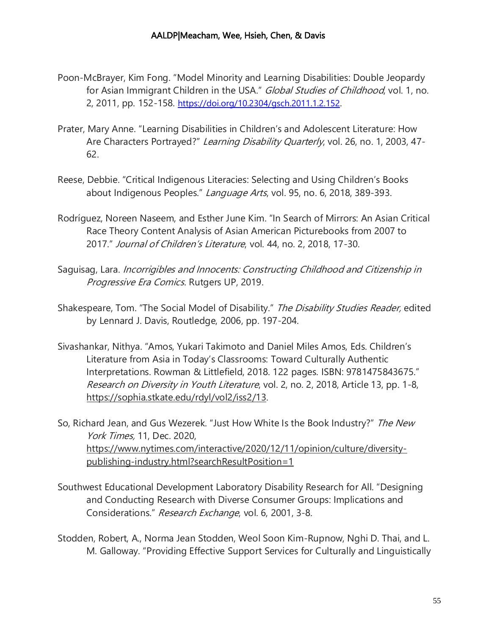- Poon-McBrayer, Kim Fong. "Model Minority and Learning Disabilities: Double Jeopardy for Asian Immigrant Children in the USA." Global Studies of Childhood, vol. 1, no. 2, 2011, pp. 152-158. <https://doi.org/10.2304/gsch.2011.1.2.152>.
- Prater, Mary Anne. "Learning Disabilities in Children's and Adolescent Literature: How Are Characters Portrayed?" Learning Disability Quarterly, vol. 26, no. 1, 2003, 47-62.
- Reese, Debbie. "Critical Indigenous Literacies: Selecting and Using Children's Books about Indigenous Peoples." Language Arts, vol. 95, no. 6, 2018, 389-393.
- Rodríguez, Noreen Naseem, and Esther June Kim. "In Search of Mirrors: An Asian Critical Race Theory Content Analysis of Asian American Picturebooks from 2007 to 2017." Journal of Children's Literature, vol. 44, no. 2, 2018, 17-30.
- Saguisag, Lara. Incorrigibles and Innocents: Constructing Childhood and Citizenship in Progressive Era Comics. Rutgers UP, 2019.
- Shakespeare, Tom. "The Social Model of Disability." The Disability Studies Reader, edited by Lennard J. Davis, Routledge, 2006, pp. 197-204.
- Sivashankar, Nithya. "Amos, Yukari Takimoto and Daniel Miles Amos, Eds. Children's Literature from Asia in Today's Classrooms: Toward Culturally Authentic Interpretations. Rowman & Littlefield, 2018. 122 pages. ISBN: 9781475843675." Research on Diversity in Youth Literature, vol. 2, no. 2, 2018, Article 13, pp. 1-8, [https://sophia.stkate.edu/rdyl/vol2/iss2/13.](https://sophia.stkate.edu/rdyl/vol2/iss2/13)
- So, Richard Jean, and Gus Wezerek. "Just How White Is the Book Industry?" The New York Times, 11, Dec. 2020, [https://www.nytimes.com/interactive/2020/12/11/opinion/culture/diversity](https://www.nytimes.com/interactive/2020/12/11/opinion/culture/diversity-publishing-industry.html?searchResultPosition=1)[publishing-industry.html?searchResultPosition=1](https://www.nytimes.com/interactive/2020/12/11/opinion/culture/diversity-publishing-industry.html?searchResultPosition=1)
- Southwest Educational Development Laboratory Disability Research for All. "Designing and Conducting Research with Diverse Consumer Groups: Implications and Considerations." Research Exchange, vol. 6, 2001, 3-8.
- Stodden, Robert, A., Norma Jean Stodden, Weol Soon Kim-Rupnow, Nghi D. Thai, and L. M. Galloway. "Providing Effective Support Services for Culturally and Linguistically